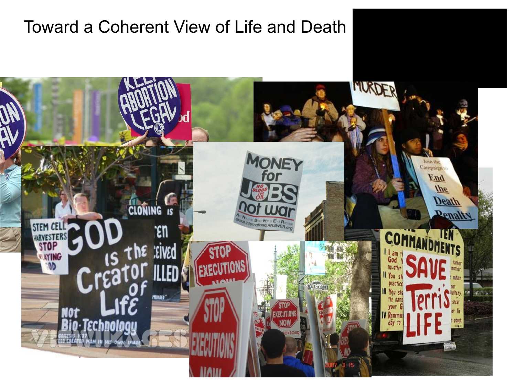## Toward a Coherent View of Life and Death

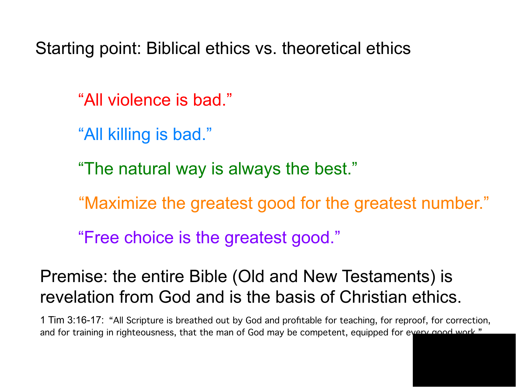Starting point: Biblical ethics vs. theoretical ethics

"All violence is bad."

"All killing is bad."

"The natural way is always the best."

"Maximize the greatest good for the greatest number."

"Free choice is the greatest good."

# Premise: the entire Bible (Old and New Testaments) is revelation from God and is the basis of Christian ethics.

1 Tim 3:16-17: "All Scripture is breathed out by God and proftable for teaching, for reproof, for correction, and for training in righteousness, that the man of God may be competent, equipped for every good work."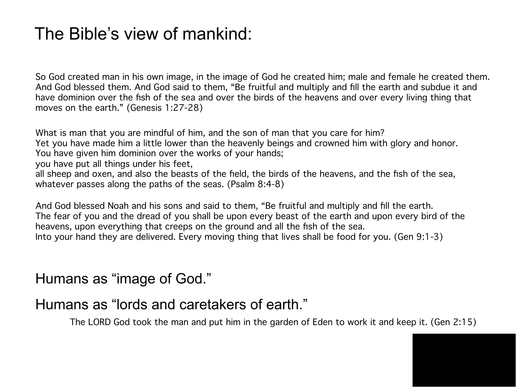## The Bible's view of mankind:

So God created man in his own image, in the image of God he created him; male and female he created them. And God blessed them. And God said to them, "Be fruitful and multiply and fll the earth and subdue it and have dominion over the fsh of the sea and over the birds of the heavens and over every living thing that moves on the earth." (Genesis 1:27-28)

What is man that you are mindful of him, and the son of man that you care for him? Yet you have made him a little lower than the heavenly beings and crowned him with glory and honor. You have given him dominion over the works of your hands;

you have put all things under his feet,

all sheep and oxen, and also the beasts of the feld, the birds of the heavens, and the fsh of the sea, whatever passes along the paths of the seas. (Psalm 8:4-8)

And God blessed Noah and his sons and said to them, "Be fruitful and multiply and fll the earth. The fear of you and the dread of you shall be upon every beast of the earth and upon every bird of the heavens, upon everything that creeps on the ground and all the fsh of the sea. Into your hand they are delivered. Every moving thing that lives shall be food for you. (Gen 9:1-3)

Humans as "image of God."

### Humans as "lords and caretakers of earth."

The LORD God took the man and put him in the garden of Eden to work it and keep it. (Gen 2:15)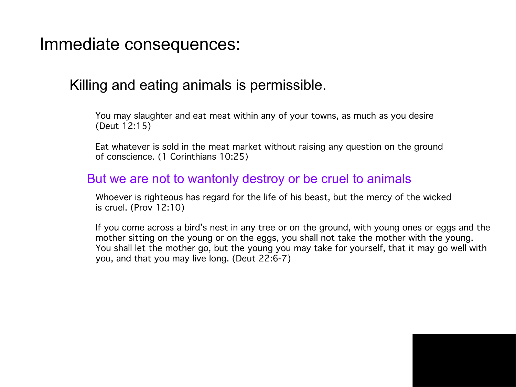Immediate consequences:

### Killing and eating animals is permissible.

You may slaughter and eat meat within any of your towns, as much as you desire (Deut 12:15)

Eat whatever is sold in the meat market without raising any question on the ground of conscience. (1 Corinthians 10:25)

### But we are not to wantonly destroy or be cruel to animals

Whoever is righteous has regard for the life of his beast, but the mercy of the wicked is cruel. (Prov 12:10)

If you come across a bird's nest in any tree or on the ground, with young ones or eggs and the mother sitting on the young or on the eggs, you shall not take the mother with the young. You shall let the mother go, but the young you may take for yourself, that it may go well with you, and that you may live long. (Deut 22:6-7)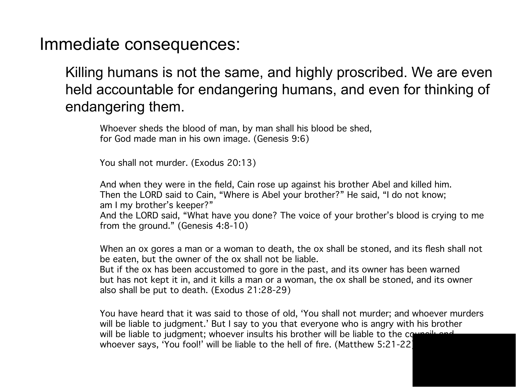Immediate consequences:

Killing humans is not the same, and highly proscribed. We are even held accountable for endangering humans, and even for thinking of endangering them.

Whoever sheds the blood of man, by man shall his blood be shed, for God made man in his own image. (Genesis 9:6)

You shall not murder. (Exodus 20:13)

And when they were in the feld, Cain rose up against his brother Abel and killed him. Then the LORD said to Cain, "Where is Abel your brother?" He said, "I do not know; am I my brother's keeper?" And the LORD said, "What have you done? The voice of your brother's blood is crying to me from the ground." (Genesis 4:8-10)

When an ox gores a man or a woman to death, the ox shall be stoned, and its fesh shall not be eaten, but the owner of the ox shall not be liable.

But if the ox has been accustomed to gore in the past, and its owner has been warned but has not kept it in, and it kills a man or a woman, the ox shall be stoned, and its owner also shall be put to death. (Exodus 21:28-29)

You have heard that it was said to those of old, 'You shall not murder; and whoever murders will be liable to judgment.' But I say to you that everyone who is angry with his brother will be liable to judgment; whoever insults his brother will be liable to the council; and whoever says, 'You fool!' will be liable to the hell of fre. (Matthew 5:21-22)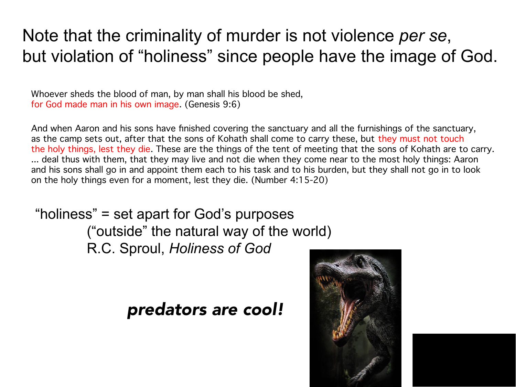# Note that the criminality of murder is not violence *per se*, but violation of "holiness" since people have the image of God.

Whoever sheds the blood of man, by man shall his blood be shed, for God made man in his own image. (Genesis 9:6)

And when Aaron and his sons have fnished covering the sanctuary and all the furnishings of the sanctuary, as the camp sets out, after that the sons of Kohath shall come to carry these, but they must not touch the holy things, lest they die. These are the things of the tent of meeting that the sons of Kohath are to carry. ... deal thus with them, that they may live and not die when they come near to the most holy things: Aaron and his sons shall go in and appoint them each to his task and to his burden, but they shall not go in to look on the holy things even for a moment, lest they die. (Number 4:15-20)

"holiness" = set apart for God's purposes ("outside" the natural way of the world) R.C. Sproul, *Holiness of God*

## predators are cool!

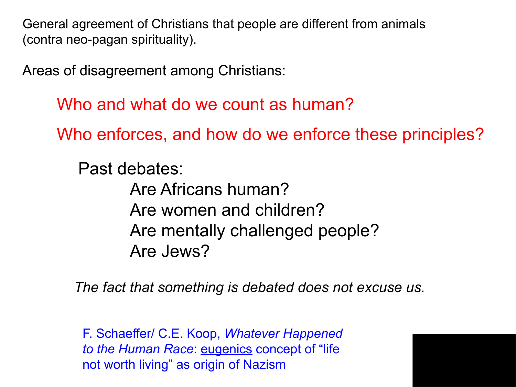General agreement of Christians that people are different from animals (contra neo-pagan spirituality).

Areas of disagreement among Christians:

Who and what do we count as human?

Who enforces, and how do we enforce these principles?

Past debates: Are Africans human? Are women and children? Are mentally challenged people? Are Jews?

*The fact that something is debated does not excuse us.*

F. Schaeffer/ C.E. Koop, *Whatever Happened to the Human Race*: eugenics concept of "life not worth living" as origin of Nazism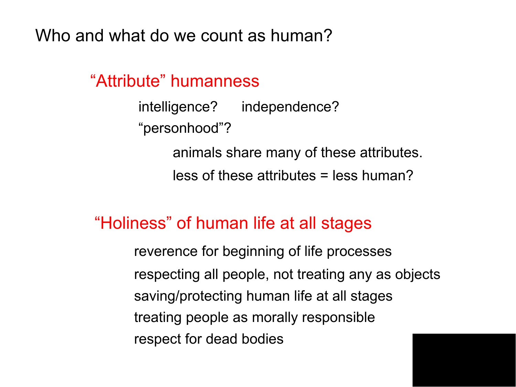Who and what do we count as human?

"Attribute" humanness

intelligence? independence? "personhood"? animals share many of these attributes. less of these attributes = less human?

### "Holiness" of human life at all stages

reverence for beginning of life processes respecting all people, not treating any as objects respect for dead bodies saving/protecting human life at all stages treating people as morally responsible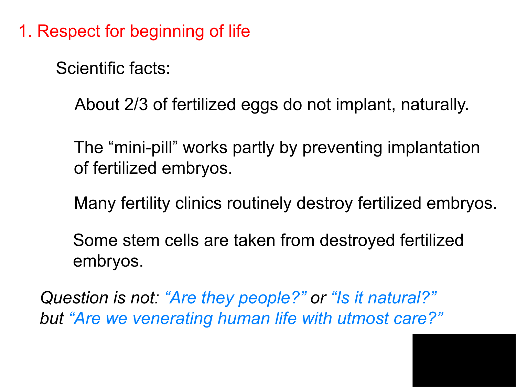1. Respect for beginning of life

Scientific facts:

About 2/3 of fertilized eggs do not implant, naturally.

The "mini-pill" works partly by preventing implantation of fertilized embryos.

Many fertility clinics routinely destroy fertilized embryos.

Some stem cells are taken from destroyed fertilized embryos.

*Question is not: "Are they people?" or "Is it natural?" but "Are we venerating human life with utmost care?"*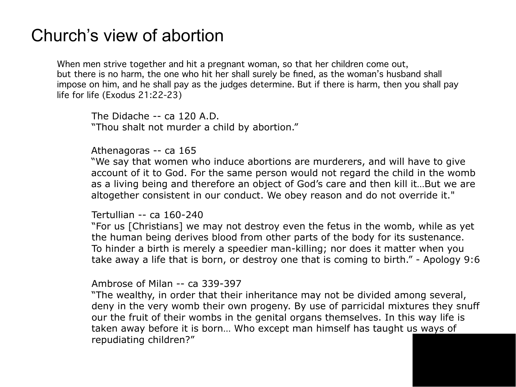### Church's view of abortion

When men strive together and hit a pregnant woman, so that her children come out, but there is no harm, the one who hit her shall surely be fned, as the woman's husband shall impose on him, and he shall pay as the judges determine. But if there is harm, then you shall pay life for life (Exodus 21:22-23)

The Didache -- ca 120 A.D. "Thou shalt not murder a child by abortion."

Athenagoras -- ca 165

"We say that women who induce abortions are murderers, and will have to give account of it to God. For the same person would not regard the child in the womb as a living being and therefore an object of God's care and then kill it…But we are altogether consistent in our conduct. We obey reason and do not override it."

Tertullian -- ca 160-240

"For us [Christians] we may not destroy even the fetus in the womb, while as yet the human being derives blood from other parts of the body for its sustenance. To hinder a birth is merely a speedier man-killing; nor does it matter when you take away a life that is born, or destroy one that is coming to birth." - Apology 9:6

Ambrose of Milan -- ca 339-397

"The wealthy, in order that their inheritance may not be divided among several, deny in the very womb their own progeny. By use of parricidal mixtures they snuff our the fruit of their wombs in the genital organs themselves. In this way life is taken away before it is born… Who except man himself has taught us ways of repudiating children?"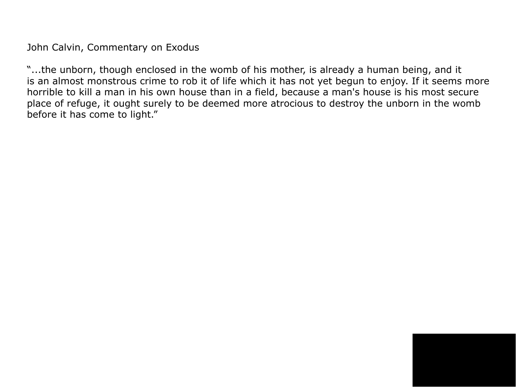John Calvin, Commentary on Exodus

"...the unborn, though enclosed in the womb of his mother, is already a human being, and it is an almost monstrous crime to rob it of life which it has not yet begun to enjoy. If it seems more horrible to kill a man in his own house than in a field, because a man's house is his most secure place of refuge, it ought surely to be deemed more atrocious to destroy the unborn in the womb before it has come to light."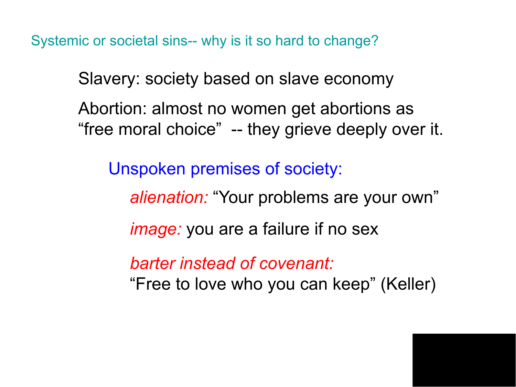Systemic or societal sins-- why is it so hard to change?

Slavery: society based on slave economy

Abortion: almost no women get abortions as "free moral choice" -- they grieve deeply over it.

Unspoken premises of society:

*alienation:* "Your problems are your own"

*image:* you are a failure if no sex

*barter instead of covenant:*

"Free to love who you can keep" (Keller)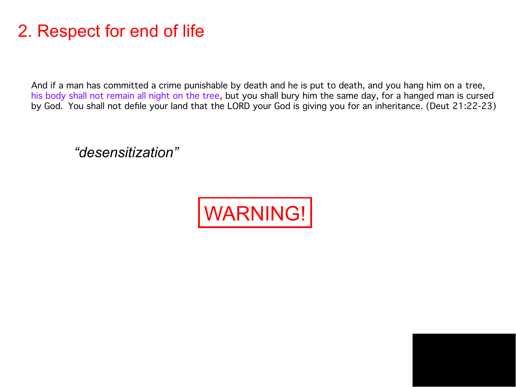# 2. Respect for end of life

And if a man has committed a crime punishable by death and he is put to death, and you hang him on a tree, his body shall not remain all night on the tree, but you shall bury him the same day, for a hanged man is cursed by God. You shall not defle your land that the LORD your God is giving you for an inheritance. (Deut 21:22-23)

*"desensitization"*

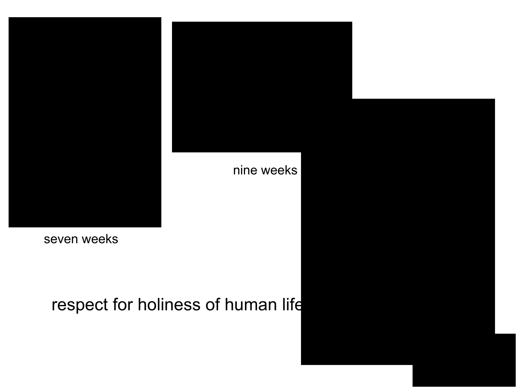



nine weeks

seven weeks

respect for holiness of human life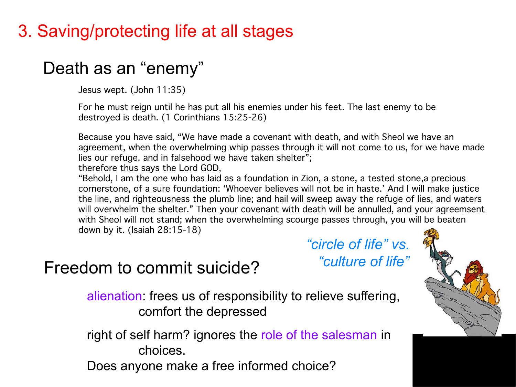# 3. Saving/protecting life at all stages

# Death as an "enemy"

Jesus wept. (John 11:35)

For he must reign until he has put all his enemies under his feet. The last enemy to be destroyed is death. (1 Corinthians 15:25-26)

Because you have said, "We have made a covenant with death, and with Sheol we have an agreement, when the overwhelming whip passes through it will not come to us, for we have made lies our refuge, and in falsehood we have taken shelter"; therefore thus says the Lord GOD,

"Behold, I am the one who has laid as a foundation in Zion, a stone, a tested stone,a precious cornerstone, of a sure foundation: 'Whoever believes will not be in haste.' And I will make justice the line, and righteousness the plumb line; and hail will sweep away the refuge of lies, and waters will overwhelm the shelter." Then your covenant with death will be annulled, and your agreemsent with Sheol will not stand; when the overwhelming scourge passes through, you will be beaten down by it. (Isaiah 28:15-18)

Freedom to commit suicide?

*"circle of life" vs. "culture of life"*



alienation: frees us of responsibility to relieve suffering, comfort the depressed

right of self harm? ignores the role of the salesman in choices.

Does anyone make a free informed choice?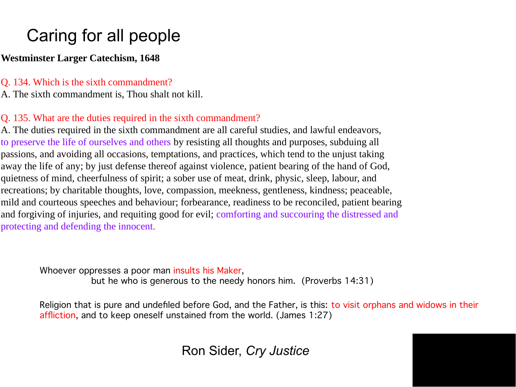# Caring for all people

#### **Westminster Larger Catechism, 1648**

#### Q. 134. Which is the sixth commandment?

A. The sixth commandment is, Thou shalt not kill.

#### Q. 135. What are the duties required in the sixth commandment?

A. The duties required in the sixth commandment are all careful studies, and lawful endeavors, to preserve the life of ourselves and others by resisting all thoughts and purposes, subduing all passions, and avoiding all occasions, temptations, and practices, which tend to the unjust taking away the life of any; by just defense thereof against violence, patient bearing of the hand of God, quietness of mind, cheerfulness of spirit; a sober use of meat, drink, physic, sleep, labour, and recreations; by charitable thoughts, love, compassion, meekness, gentleness, kindness; peaceable, mild and courteous speeches and behaviour; forbearance, readiness to be reconciled, patient bearing and forgiving of injuries, and requiting good for evil; comforting and succouring the distressed and protecting and defending the innocent.

Whoever oppresses a poor man insults his Maker,

but he who is generous to the needy honors him. (Proverbs 14:31)

Religion that is pure and undefled before God, and the Father, is this: to visit orphans and widows in their affiction, and to keep oneself unstained from the world. (James 1:27)

Ron Sider, *Cry Justice*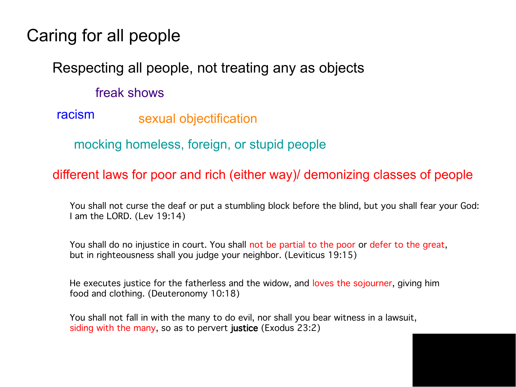## Caring for all people

### Respecting all people, not treating any as objects

### freak shows

racism sexual objectification

mocking homeless, foreign, or stupid people

#### different laws for poor and rich (either way)/ demonizing classes of people

You shall not curse the deaf or put a stumbling block before the blind, but you shall fear your God: I am the LORD. (Lev 19:14)

You shall do no injustice in court. You shall not be partial to the poor or defer to the great, but in righteousness shall you judge your neighbor. (Leviticus 19:15)

He executes justice for the fatherless and the widow, and loves the sojourner, giving him food and clothing. (Deuteronomy 10:18)

You shall not fall in with the many to do evil, nor shall you bear witness in a lawsuit, siding with the many, so as to pervert justice (Exodus 23:2)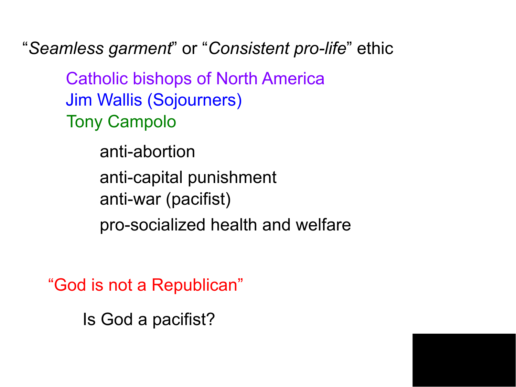"*Seamless garment*" or "*Consistent pro-life*" ethic

Catholic bishops of North America Jim Wallis (Sojourners) Tony Campolo

> anti-abortion anti-capital punishment anti-war (pacifist) pro-socialized health and welfare

"God is not a Republican"

Is God a pacifist?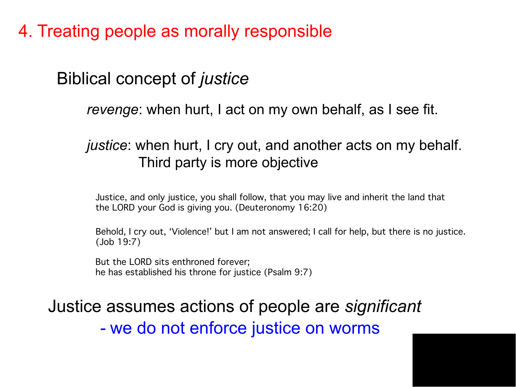4. Treating people as morally responsible

Biblical concept of *justice*

*revenge*: when hurt, I act on my own behalf, as I see fit.

### *justice*: when hurt, I cry out, and another acts on my behalf. Third party is more objective

Justice, and only justice, you shall follow, that you may live and inherit the land that the LORD your God is giving you. (Deuteronomy 16:20)

Behold, I cry out, 'Violence!' but I am not answered; I call for help, but there is no justice. (Job 19:7)

But the LORD sits enthroned forever; he has established his throne for justice (Psalm 9:7)

# Justice assumes actions of people are *significant -* we do not enforce justice on worms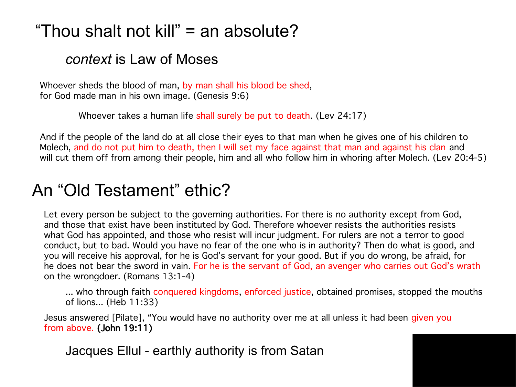# "Thou shalt not kill" = an absolute?

### *context* is Law of Moses

Whoever sheds the blood of man, by man shall his blood be shed, for God made man in his own image. (Genesis 9:6)

Whoever takes a human life shall surely be put to death. (Lev 24:17)

And if the people of the land do at all close their eyes to that man when he gives one of his children to Molech, and do not put him to death, then I will set my face against that man and against his clan and will cut them off from among their people, him and all who follow him in whoring after Molech. (Lev 20:4-5)

## An "Old Testament" ethic?

Let every person be subject to the governing authorities. For there is no authority except from God, and those that exist have been instituted by God. Therefore whoever resists the authorities resists what God has appointed, and those who resist will incur judgment. For rulers are not a terror to good conduct, but to bad. Would you have no fear of the one who is in authority? Then do what is good, and you will receive his approval, for he is God's servant for your good. But if you do wrong, be afraid, for he does not bear the sword in vain. For he is the servant of God, an avenger who carries out God's wrath on the wrongdoer. (Romans 13:1-4)

... who through faith conquered kingdoms, enforced justice, obtained promises, stopped the mouths of lions... (Heb 11:33)

Jesus answered [Pilate], "You would have no authority over me at all unless it had been given you from above. (John 19:11)

Jacques Ellul - earthly authority is from Satan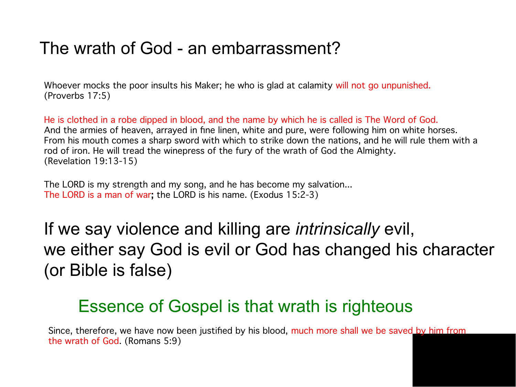## The wrath of God - an embarrassment?

Whoever mocks the poor insults his Maker; he who is glad at calamity will not go unpunished. (Proverbs 17:5)

He is clothed in a robe dipped in blood, and the name by which he is called is The Word of God. And the armies of heaven, arrayed in fne linen, white and pure, were following him on white horses. From his mouth comes a sharp sword with which to strike down the nations, and he will rule them with a rod of iron. He will tread the winepress of the fury of the wrath of God the Almighty. (Revelation 19:13-15)

The LORD is my strength and my song, and he has become my salvation... The LORD is a man of war; the LORD is his name. (Exodus 15:2-3)

If we say violence and killing are *intrinsically* evil, we either say God is evil or God has changed his character (or Bible is false)

### Essence of Gospel is that wrath is righteous

Since, therefore, we have now been justifed by his blood, much more shall we be saved by him from the wrath of God. (Romans 5:9)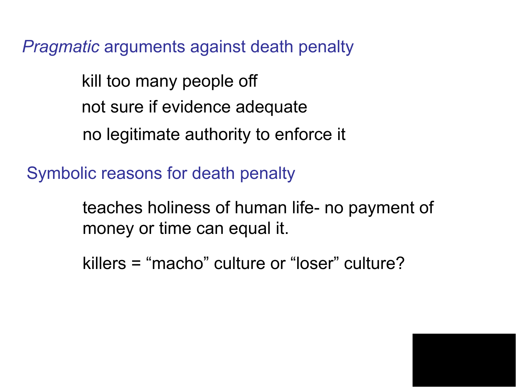*Pragmatic* arguments against death penalty

kill too many people off not sure if evidence adequate no legitimate authority to enforce it

Symbolic reasons for death penalty

teaches holiness of human life- no payment of money or time can equal it.

killers = "macho" culture or "loser" culture?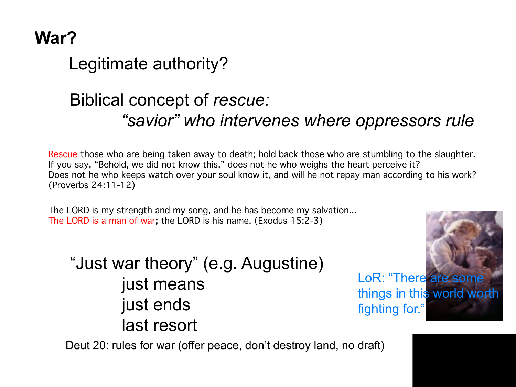# **War?**

Legitimate authority?

# Biblical concept of *rescue: "savior" who intervenes where oppressors rule*

Rescue those who are being taken away to death; hold back those who are stumbling to the slaughter. If you say, "Behold, we did not know this," does not he who weighs the heart perceive it? Does not he who keeps watch over your soul know it, and will he not repay man according to his work? (Proverbs 24:11-12)

The LORD is my strength and my song, and he has become my salvation... The LORD is a man of war; the LORD is his name. (Exodus 15:2-3)

"Just war theory" (e.g. Augustine) just means just ends last resort



fighting for."

Deut 20: rules for war (offer peace, don't destroy land, no draft)